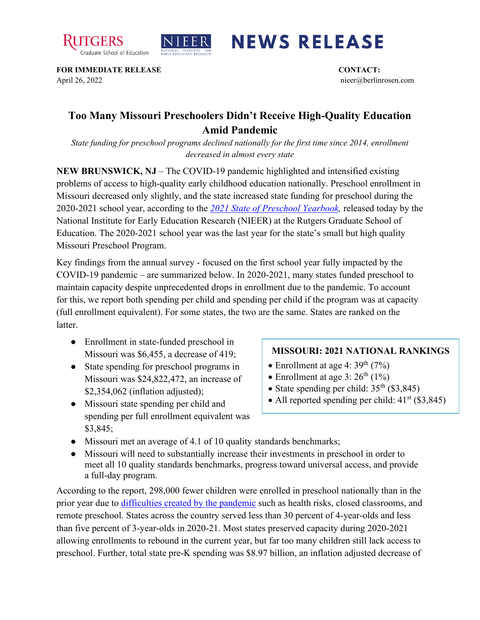



## **NEWS RELEASE**

**FOR IMMEDIATE RELEASE CONTACT:**  April 26, 2022 nieer@berlinrosen.com

## **Too Many Missouri Preschoolers Didn't Receive High-Quality Education Amid Pandemic**

*State funding for preschool programs declined nationally for the first time since 2014, enrollment decreased in almost every state*

**NEW BRUNSWICK, NJ** – The COVID-19 pandemic highlighted and intensified existing problems of access to high-quality early childhood education nationally. Preschool enrollment in Missouri decreased only slightly, and the state increased state funding for preschool during the 2020-2021 school year, according to the *[2021 State of Preschool Yearbook,](https://nieer.org/state-preschool-yearbooks-yearbook2021)* released today by the National Institute for Early Education Research (NIEER) at the Rutgers Graduate School of Education. The 2020-2021 school year was the last year for the state's small but high quality Missouri Preschool Program.

Key findings from the annual survey - focused on the first school year fully impacted by the COVID-19 pandemic – are summarized below. In 2020-2021, many states funded preschool to maintain capacity despite unprecedented drops in enrollment due to the pandemic. To account for this, we report both spending per child and spending per child if the program was at capacity (full enrollment equivalent). For some states, the two are the same. States are ranked on the **latter** 

- Enrollment in state-funded preschool in Missouri was \$6,455, a decrease of 419;
- State spending for preschool programs in Missouri was \$24,822,472, an increase of \$2,354,062 (inflation adjusted);
- Missouri state spending per child and spending per full enrollment equivalent was \$3,845;

## **MISSOURI: 2021 NATIONAL RANKINGS**

- Enrollment at age 4:  $39<sup>th</sup>$  (7%)
- Enrollment at age 3:  $26<sup>th</sup>$  (1%)
- State spending per child:  $35<sup>th</sup>$  (\$3,845)
- All reported spending per child:  $41<sup>st</sup>$  (\$3,845)
- Missouri met an average of 4.1 of 10 quality standards benchmarks;
- Missouri will need to substantially increase their investments in preschool in order to meet all 10 quality standards benchmarks, progress toward universal access, and provide a full-day program.

According to the report, 298,000 fewer children were enrolled in preschool nationally than in the prior year due to [difficulties created by the pandemic](https://nieer.org/wp-content/uploads/2021/02/NIEER_Seven_Impacts_of_the_Pandemic_on_Young_Children_and_their_Parents.pdf) such as health risks, closed classrooms, and remote preschool. States across the country served less than 30 percent of 4-year-olds and less than five percent of 3-year-olds in 2020-21. Most states preserved capacity during 2020-2021 allowing enrollments to rebound in the current year, but far too many children still lack access to preschool. Further, total state pre-K spending was \$8.97 billion, an inflation adjusted decrease of